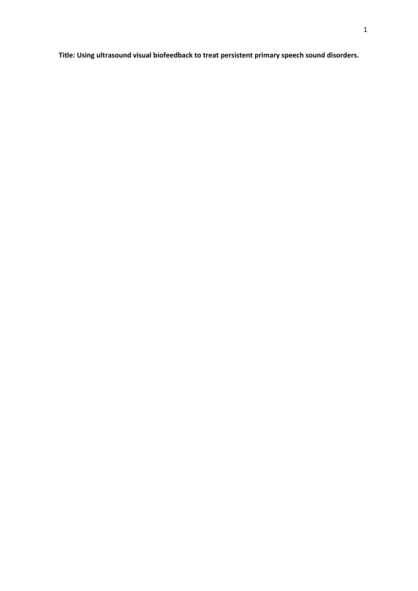**Title: Using ultrasound visual biofeedback to treat persistent primary speech sound disorders.**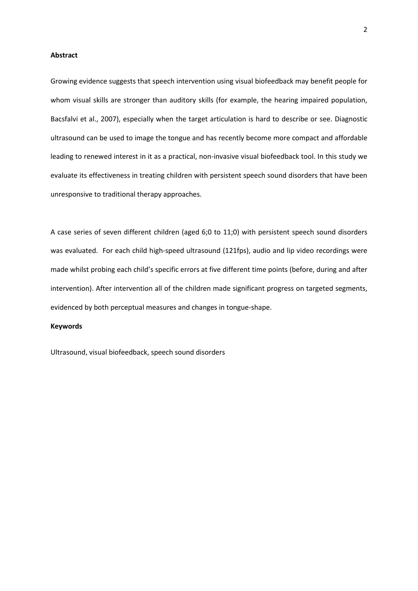### **Abstract**

Growing evidence suggests that speech intervention using visual biofeedback may benefit people for whom visual skills are stronger than auditory skills (for example, the hearing impaired population, Bacsfalvi et al., 2007), especially when the target articulation is hard to describe or see. Diagnostic ultrasound can be used to image the tongue and has recently become more compact and affordable leading to renewed interest in it as a practical, non-invasive visual biofeedback tool. In this study we evaluate its effectiveness in treating children with persistent speech sound disorders that have been unresponsive to traditional therapy approaches.

A case series of seven different children (aged 6;0 to 11;0) with persistent speech sound disorders was evaluated. For each child high-speed ultrasound (121fps), audio and lip video recordings were made whilst probing each child's specific errors at five different time points (before, during and after intervention). After intervention all of the children made significant progress on targeted segments, evidenced by both perceptual measures and changes in tongue-shape.

# **Keywords**

Ultrasound, visual biofeedback, speech sound disorders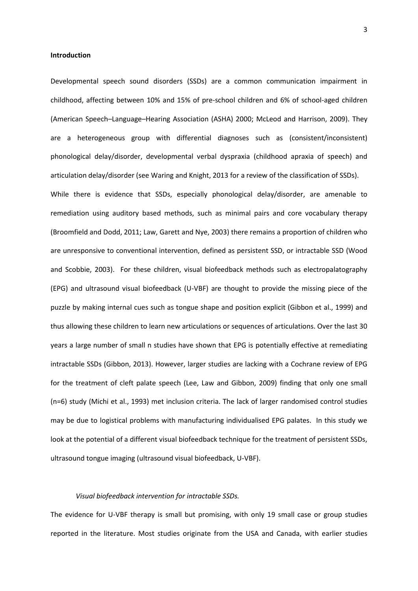#### **Introduction**

Developmental speech sound disorders (SSDs) are a common communication impairment in childhood, affecting between 10% and 15% of pre-school children and 6% of school-aged children (American Speech–Language–Hearing Association (ASHA) 2000; McLeod and Harrison, 2009). They are a heterogeneous group with differential diagnoses such as (consistent/inconsistent) phonological delay/disorder, developmental verbal dyspraxia (childhood apraxia of speech) and articulation delay/disorder (see Waring and Knight, 2013 for a review of the classification of SSDs).

While there is evidence that SSDs, especially phonological delay/disorder, are amenable to remediation using auditory based methods, such as minimal pairs and core vocabulary therapy (Broomfield and Dodd, 2011; Law, Garett and Nye, 2003) there remains a proportion of children who are unresponsive to conventional intervention, defined as persistent SSD, or intractable SSD (Wood and Scobbie, 2003). For these children, visual biofeedback methods such as electropalatography (EPG) and ultrasound visual biofeedback (U-VBF) are thought to provide the missing piece of the puzzle by making internal cues such as tongue shape and position explicit (Gibbon et al., 1999) and thus allowing these children to learn new articulations or sequences of articulations. Over the last 30 years a large number of small n studies have shown that EPG is potentially effective at remediating intractable SSDs (Gibbon, 2013). However, larger studies are lacking with a Cochrane review of EPG for the treatment of cleft palate speech (Lee, Law and Gibbon, 2009) finding that only one small (n=6) study (Michi et al., 1993) met inclusion criteria. The lack of larger randomised control studies may be due to logistical problems with manufacturing individualised EPG palates. In this study we look at the potential of a different visual biofeedback technique for the treatment of persistent SSDs, ultrasound tongue imaging (ultrasound visual biofeedback, U-VBF).

### *Visual biofeedback intervention for intractable SSDs.*

The evidence for U-VBF therapy is small but promising, with only 19 small case or group studies reported in the literature. Most studies originate from the USA and Canada, with earlier studies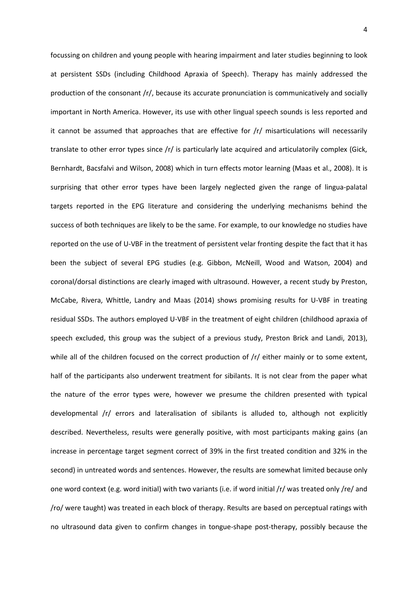focussing on children and young people with hearing impairment and later studies beginning to look at persistent SSDs (including Childhood Apraxia of Speech). Therapy has mainly addressed the production of the consonant /r/, because its accurate pronunciation is communicatively and socially important in North America. However, its use with other lingual speech sounds is less reported and it cannot be assumed that approaches that are effective for  $/r/r$  misarticulations will necessarily translate to other error types since /r/ is particularly late acquired and articulatorily complex (Gick, Bernhardt, Bacsfalvi and Wilson, 2008) which in turn effects motor learning (Maas et al., 2008). It is surprising that other error types have been largely neglected given the range of lingua-palatal targets reported in the EPG literature and considering the underlying mechanisms behind the success of both techniques are likely to be the same. For example, to our knowledge no studies have reported on the use of U-VBF in the treatment of persistent velar fronting despite the fact that it has been the subject of several EPG studies (e.g. Gibbon, McNeill, Wood and Watson, 2004) and coronal/dorsal distinctions are clearly imaged with ultrasound. However, a recent study by Preston, McCabe, Rivera, Whittle, Landry and Maas (2014) shows promising results for U-VBF in treating residual SSDs. The authors employed U-VBF in the treatment of eight children (childhood apraxia of speech excluded, this group was the subject of a previous study, Preston Brick and Landi, 2013), while all of the children focused on the correct production of  $/r/$  either mainly or to some extent, half of the participants also underwent treatment for sibilants. It is not clear from the paper what the nature of the error types were, however we presume the children presented with typical developmental /r/ errors and lateralisation of sibilants is alluded to, although not explicitly described. Nevertheless, results were generally positive, with most participants making gains (an increase in percentage target segment correct of 39% in the first treated condition and 32% in the second) in untreated words and sentences. However, the results are somewhat limited because only one word context (e.g. word initial) with two variants (i.e. if word initial /r/ was treated only /re/ and /ro/ were taught) was treated in each block of therapy. Results are based on perceptual ratings with no ultrasound data given to confirm changes in tongue-shape post-therapy, possibly because the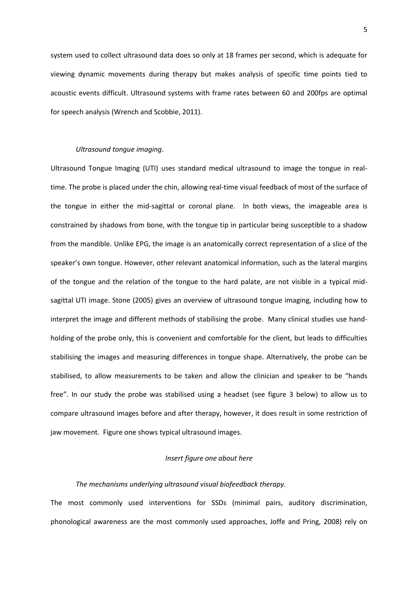system used to collect ultrasound data does so only at 18 frames per second, which is adequate for viewing dynamic movements during therapy but makes analysis of specific time points tied to acoustic events difficult. Ultrasound systems with frame rates between 60 and 200fps are optimal for speech analysis (Wrench and Scobbie, 2011).

# *Ultrasound tongue imaging*.

Ultrasound Tongue Imaging (UTI) uses standard medical ultrasound to image the tongue in realtime. The probe is placed under the chin, allowing real-time visual feedback of most of the surface of the tongue in either the mid-sagittal or coronal plane. In both views, the imageable area is constrained by shadows from bone, with the tongue tip in particular being susceptible to a shadow from the mandible. Unlike EPG, the image is an anatomically correct representation of a slice of the speaker's own tongue. However, other relevant anatomical information, such as the lateral margins of the tongue and the relation of the tongue to the hard palate, are not visible in a typical midsagittal UTI image. Stone (2005) gives an overview of ultrasound tongue imaging, including how to interpret the image and different methods of stabilising the probe. Many clinical studies use handholding of the probe only, this is convenient and comfortable for the client, but leads to difficulties stabilising the images and measuring differences in tongue shape. Alternatively, the probe can be stabilised, to allow measurements to be taken and allow the clinician and speaker to be "hands free". In our study the probe was stabilised using a headset (see figure 3 below) to allow us to compare ultrasound images before and after therapy, however, it does result in some restriction of jaw movement. Figure one shows typical ultrasound images.

# *Insert figure one about here*

### *The mechanisms underlying ultrasound visual biofeedback therapy.*

The most commonly used interventions for SSDs (minimal pairs, auditory discrimination, phonological awareness are the most commonly used approaches, Joffe and Pring, 2008) rely on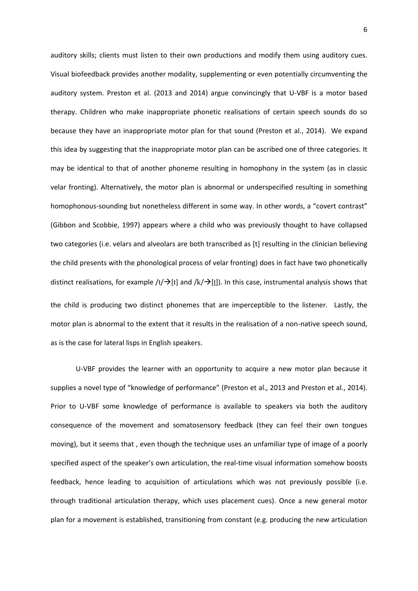auditory skills; clients must listen to their own productions and modify them using auditory cues. Visual biofeedback provides another modality, supplementing or even potentially circumventing the auditory system. Preston et al. (2013 and 2014) argue convincingly that U-VBF is a motor based therapy. Children who make inappropriate phonetic realisations of certain speech sounds do so because they have an inappropriate motor plan for that sound (Preston et al., 2014). We expand this idea by suggesting that the inappropriate motor plan can be ascribed one of three categories. It may be identical to that of another phoneme resulting in homophony in the system (as in classic velar fronting). Alternatively, the motor plan is abnormal or underspecified resulting in something homophonous-sounding but nonetheless different in some way. In other words, a "covert contrast" (Gibbon and Scobbie, 1997) appears where a child who was previously thought to have collapsed two categories (i.e. velars and alveolars are both transcribed as [t] resulting in the clinician believing the child presents with the phonological process of velar fronting) does in fact have two phonetically distinct realisations, for example /t/ $\rightarrow$ [t] and /k/ $\rightarrow$ [t]). In this case, instrumental analysis shows that the child is producing two distinct phonemes that are imperceptible to the listener. Lastly, the motor plan is abnormal to the extent that it results in the realisation of a non-native speech sound, as is the case for lateral lisps in English speakers.

U-VBF provides the learner with an opportunity to acquire a new motor plan because it supplies a novel type of "knowledge of performance" (Preston et al., 2013 and Preston et al., 2014). Prior to U-VBF some knowledge of performance is available to speakers via both the auditory consequence of the movement and somatosensory feedback (they can feel their own tongues moving), but it seems that , even though the technique uses an unfamiliar type of image of a poorly specified aspect of the speaker's own articulation, the real-time visual information somehow boosts feedback, hence leading to acquisition of articulations which was not previously possible (i.e. through traditional articulation therapy, which uses placement cues). Once a new general motor plan for a movement is established, transitioning from constant (e.g. producing the new articulation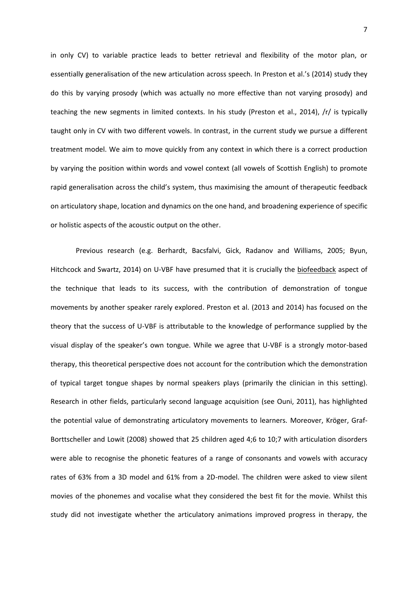in only CV) to variable practice leads to better retrieval and flexibility of the motor plan, or essentially generalisation of the new articulation across speech. In Preston et al.'s (2014) study they do this by varying prosody (which was actually no more effective than not varying prosody) and teaching the new segments in limited contexts. In his study (Preston et al., 2014), /r/ is typically taught only in CV with two different vowels. In contrast, in the current study we pursue a different treatment model. We aim to move quickly from any context in which there is a correct production by varying the position within words and vowel context (all vowels of Scottish English) to promote rapid generalisation across the child's system, thus maximising the amount of therapeutic feedback on articulatory shape, location and dynamics on the one hand, and broadening experience of specific or holistic aspects of the acoustic output on the other.

Previous research (e.g. Berhardt, Bacsfalvi, Gick, Radanov and Williams, 2005; Byun, Hitchcock and Swartz, 2014) on U-VBF have presumed that it is crucially the biofeedback aspect of the technique that leads to its success, with the contribution of demonstration of tongue movements by another speaker rarely explored. Preston et al. (2013 and 2014) has focused on the theory that the success of U-VBF is attributable to the knowledge of performance supplied by the visual display of the speaker's own tongue. While we agree that U-VBF is a strongly motor-based therapy, this theoretical perspective does not account for the contribution which the demonstration of typical target tongue shapes by normal speakers plays (primarily the clinician in this setting). Research in other fields, particularly second language acquisition (see Ouni, 2011), has highlighted the potential value of demonstrating articulatory movements to learners. Moreover, Kröger, Graf-Borttscheller and Lowit (2008) showed that 25 children aged 4;6 to 10;7 with articulation disorders were able to recognise the phonetic features of a range of consonants and vowels with accuracy rates of 63% from a 3D model and 61% from a 2D-model. The children were asked to view silent movies of the phonemes and vocalise what they considered the best fit for the movie. Whilst this study did not investigate whether the articulatory animations improved progress in therapy, the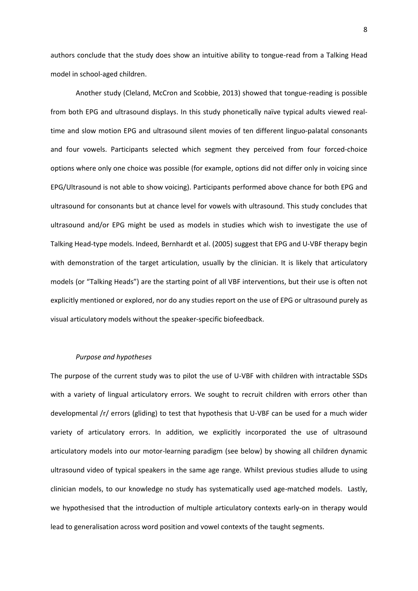authors conclude that the study does show an intuitive ability to tongue-read from a Talking Head model in school-aged children.

Another study (Cleland, McCron and Scobbie, 2013) showed that tongue-reading is possible from both EPG and ultrasound displays. In this study phonetically naïve typical adults viewed realtime and slow motion EPG and ultrasound silent movies of ten different linguo-palatal consonants and four vowels. Participants selected which segment they perceived from four forced-choice options where only one choice was possible (for example, options did not differ only in voicing since EPG/Ultrasound is not able to show voicing). Participants performed above chance for both EPG and ultrasound for consonants but at chance level for vowels with ultrasound. This study concludes that ultrasound and/or EPG might be used as models in studies which wish to investigate the use of Talking Head-type models. Indeed, Bernhardt et al. (2005) suggest that EPG and U-VBF therapy begin with demonstration of the target articulation, usually by the clinician. It is likely that articulatory models (or "Talking Heads") are the starting point of all VBF interventions, but their use is often not explicitly mentioned or explored, nor do any studies report on the use of EPG or ultrasound purely as visual articulatory models without the speaker-specific biofeedback.

## *Purpose and hypotheses*

The purpose of the current study was to pilot the use of U-VBF with children with intractable SSDs with a variety of lingual articulatory errors. We sought to recruit children with errors other than developmental /r/ errors (gliding) to test that hypothesis that U-VBF can be used for a much wider variety of articulatory errors. In addition, we explicitly incorporated the use of ultrasound articulatory models into our motor-learning paradigm (see below) by showing all children dynamic ultrasound video of typical speakers in the same age range. Whilst previous studies allude to using clinician models, to our knowledge no study has systematically used age-matched models. Lastly, we hypothesised that the introduction of multiple articulatory contexts early-on in therapy would lead to generalisation across word position and vowel contexts of the taught segments.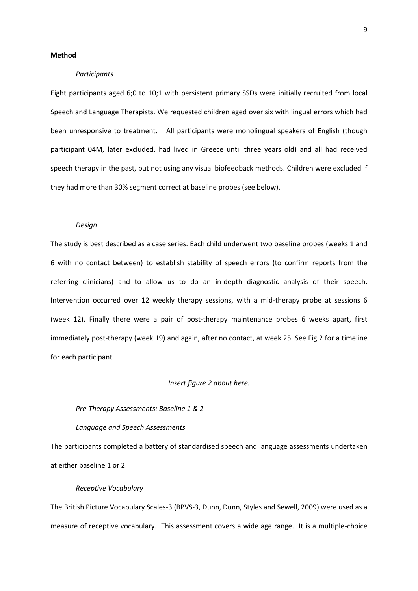### **Method**

### *Participants*

Eight participants aged 6;0 to 10;1 with persistent primary SSDs were initially recruited from local Speech and Language Therapists. We requested children aged over six with lingual errors which had been unresponsive to treatment. All participants were monolingual speakers of English (though participant 04M, later excluded, had lived in Greece until three years old) and all had received speech therapy in the past, but not using any visual biofeedback methods. Children were excluded if they had more than 30% segment correct at baseline probes (see below).

#### *Design*

The study is best described as a case series. Each child underwent two baseline probes (weeks 1 and 6 with no contact between) to establish stability of speech errors (to confirm reports from the referring clinicians) and to allow us to do an in-depth diagnostic analysis of their speech. Intervention occurred over 12 weekly therapy sessions, with a mid-therapy probe at sessions 6 (week 12). Finally there were a pair of post-therapy maintenance probes 6 weeks apart, first immediately post-therapy (week 19) and again, after no contact, at week 25. See Fig 2 for a timeline for each participant.

### *Insert figure 2 about here.*

# *Pre-Therapy Assessments: Baseline 1 & 2*

# *Language and Speech Assessments*

The participants completed a battery of standardised speech and language assessments undertaken at either baseline 1 or 2.

## *Receptive Vocabulary*

The British Picture Vocabulary Scales-3 (BPVS-3, Dunn, Dunn, Styles and Sewell, 2009) were used as a measure of receptive vocabulary. This assessment covers a wide age range. It is a multiple-choice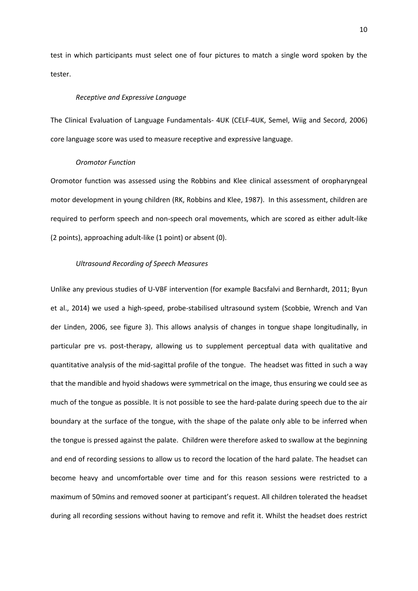test in which participants must select one of four pictures to match a single word spoken by the tester.

# *Receptive and Expressive Language*

The Clinical Evaluation of Language Fundamentals- 4UK (CELF-4UK, Semel, Wiig and Secord, 2006) core language score was used to measure receptive and expressive language.

## *Oromotor Function*

Oromotor function was assessed using the Robbins and Klee clinical assessment of oropharyngeal motor development in young children (RK, Robbins and Klee, 1987). In this assessment, children are required to perform speech and non-speech oral movements, which are scored as either adult-like (2 points), approaching adult-like (1 point) or absent (0).

# *Ultrasound Recording of Speech Measures*

Unlike any previous studies of U-VBF intervention (for example Bacsfalvi and Bernhardt, 2011; Byun et al., 2014) we used a high-speed, probe-stabilised ultrasound system (Scobbie, Wrench and Van der Linden, 2006, see figure 3). This allows analysis of changes in tongue shape longitudinally, in particular pre vs. post-therapy, allowing us to supplement perceptual data with qualitative and quantitative analysis of the mid-sagittal profile of the tongue. The headset was fitted in such a way that the mandible and hyoid shadows were symmetrical on the image, thus ensuring we could see as much of the tongue as possible. It is not possible to see the hard-palate during speech due to the air boundary at the surface of the tongue, with the shape of the palate only able to be inferred when the tongue is pressed against the palate. Children were therefore asked to swallow at the beginning and end of recording sessions to allow us to record the location of the hard palate. The headset can become heavy and uncomfortable over time and for this reason sessions were restricted to a maximum of 50mins and removed sooner at participant's request. All children tolerated the headset during all recording sessions without having to remove and refit it. Whilst the headset does restrict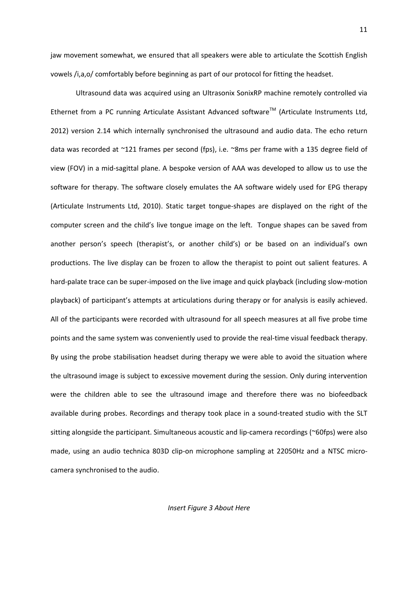jaw movement somewhat, we ensured that all speakers were able to articulate the Scottish English vowels /i,a,o/ comfortably before beginning as part of our protocol for fitting the headset.

Ultrasound data was acquired using an Ultrasonix SonixRP machine remotely controlled via Ethernet from a PC running Articulate Assistant Advanced software<sup>TM</sup> (Articulate Instruments Ltd, 2012) version 2.14 which internally synchronised the ultrasound and audio data. The echo return data was recorded at ~121 frames per second (fps), i.e. ~8ms per frame with a 135 degree field of view (FOV) in a mid-sagittal plane. A bespoke version of AAA was developed to allow us to use the software for therapy. The software closely emulates the AA software widely used for EPG therapy (Articulate Instruments Ltd, 2010). Static target tongue-shapes are displayed on the right of the computer screen and the child's live tongue image on the left. Tongue shapes can be saved from another person's speech (therapist's, or another child's) or be based on an individual's own productions. The live display can be frozen to allow the therapist to point out salient features. A hard-palate trace can be super-imposed on the live image and quick playback (including slow-motion playback) of participant's attempts at articulations during therapy or for analysis is easily achieved. All of the participants were recorded with ultrasound for all speech measures at all five probe time points and the same system was conveniently used to provide the real-time visual feedback therapy. By using the probe stabilisation headset during therapy we were able to avoid the situation where the ultrasound image is subject to excessive movement during the session. Only during intervention were the children able to see the ultrasound image and therefore there was no biofeedback available during probes. Recordings and therapy took place in a sound-treated studio with the SLT sitting alongside the participant. Simultaneous acoustic and lip-camera recordings (~60fps) were also made, using an audio technica 803D clip-on microphone sampling at 22050Hz and a NTSC microcamera synchronised to the audio.

*Insert Figure 3 About Here*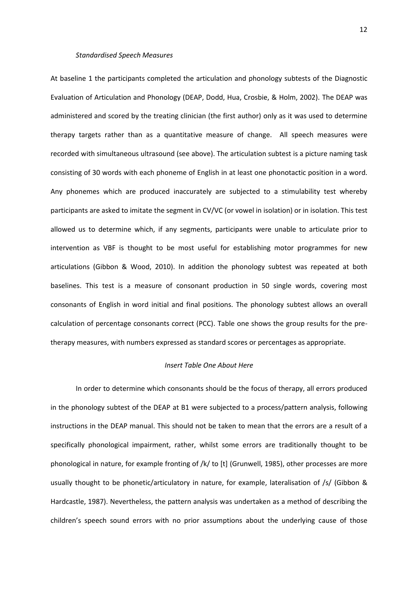#### *Standardised Speech Measures*

At baseline 1 the participants completed the articulation and phonology subtests of the Diagnostic Evaluation of Articulation and Phonology (DEAP, Dodd, Hua, Crosbie, & Holm, 2002). The DEAP was administered and scored by the treating clinician (the first author) only as it was used to determine therapy targets rather than as a quantitative measure of change. All speech measures were recorded with simultaneous ultrasound (see above). The articulation subtest is a picture naming task consisting of 30 words with each phoneme of English in at least one phonotactic position in a word. Any phonemes which are produced inaccurately are subjected to a stimulability test whereby participants are asked to imitate the segment in CV/VC (or vowel in isolation) or in isolation. This test allowed us to determine which, if any segments, participants were unable to articulate prior to intervention as VBF is thought to be most useful for establishing motor programmes for new articulations (Gibbon & Wood, 2010). In addition the phonology subtest was repeated at both baselines. This test is a measure of consonant production in 50 single words, covering most consonants of English in word initial and final positions. The phonology subtest allows an overall calculation of percentage consonants correct (PCC). Table one shows the group results for the pretherapy measures, with numbers expressed as standard scores or percentages as appropriate.

# *Insert Table One About Here*

In order to determine which consonants should be the focus of therapy, all errors produced in the phonology subtest of the DEAP at B1 were subjected to a process/pattern analysis, following instructions in the DEAP manual. This should not be taken to mean that the errors are a result of a specifically phonological impairment, rather, whilst some errors are traditionally thought to be phonological in nature, for example fronting of /k/ to [t] (Grunwell, 1985), other processes are more usually thought to be phonetic/articulatory in nature, for example, lateralisation of /s/ (Gibbon & Hardcastle, 1987). Nevertheless, the pattern analysis was undertaken as a method of describing the children's speech sound errors with no prior assumptions about the underlying cause of those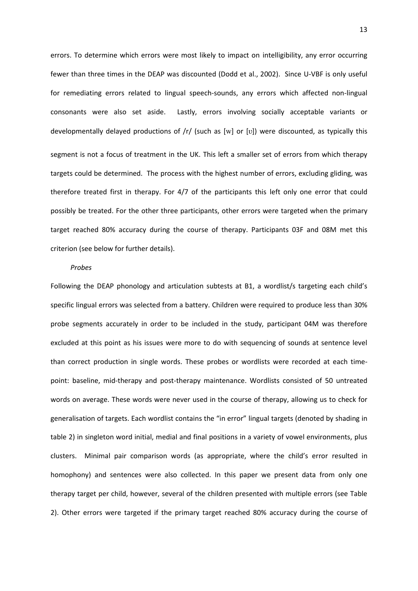errors. To determine which errors were most likely to impact on intelligibility, any error occurring fewer than three times in the DEAP was discounted (Dodd et al., 2002). Since U-VBF is only useful for remediating errors related to lingual speech-sounds, any errors which affected non-lingual consonants were also set aside. Lastly, errors involving socially acceptable variants or developmentally delayed productions of /r/ (such as [w] or [v]) were discounted, as typically this segment is not a focus of treatment in the UK. This left a smaller set of errors from which therapy targets could be determined. The process with the highest number of errors, excluding gliding, was therefore treated first in therapy. For 4/7 of the participants this left only one error that could possibly be treated. For the other three participants, other errors were targeted when the primary target reached 80% accuracy during the course of therapy. Participants 03F and 08M met this criterion (see below for further details).

### *Probes*

Following the DEAP phonology and articulation subtests at B1, a wordlist/s targeting each child's specific lingual errors was selected from a battery. Children were required to produce less than 30% probe segments accurately in order to be included in the study, participant 04M was therefore excluded at this point as his issues were more to do with sequencing of sounds at sentence level than correct production in single words. These probes or wordlists were recorded at each timepoint: baseline, mid-therapy and post-therapy maintenance. Wordlists consisted of 50 untreated words on average. These words were never used in the course of therapy, allowing us to check for generalisation of targets. Each wordlist contains the "in error" lingual targets (denoted by shading in table 2) in singleton word initial, medial and final positions in a variety of vowel environments, plus clusters. Minimal pair comparison words (as appropriate, where the child's error resulted in homophony) and sentences were also collected. In this paper we present data from only one therapy target per child, however, several of the children presented with multiple errors (see Table 2). Other errors were targeted if the primary target reached 80% accuracy during the course of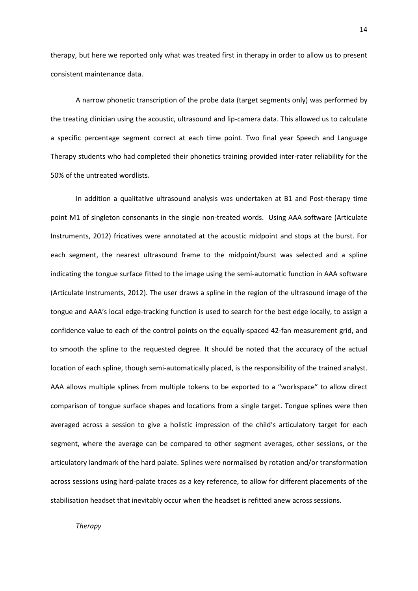therapy, but here we reported only what was treated first in therapy in order to allow us to present consistent maintenance data.

A narrow phonetic transcription of the probe data (target segments only) was performed by the treating clinician using the acoustic, ultrasound and lip-camera data. This allowed us to calculate a specific percentage segment correct at each time point. Two final year Speech and Language Therapy students who had completed their phonetics training provided inter-rater reliability for the 50% of the untreated wordlists.

In addition a qualitative ultrasound analysis was undertaken at B1 and Post-therapy time point M1 of singleton consonants in the single non-treated words. Using AAA software (Articulate Instruments, 2012) fricatives were annotated at the acoustic midpoint and stops at the burst. For each segment, the nearest ultrasound frame to the midpoint/burst was selected and a spline indicating the tongue surface fitted to the image using the semi-automatic function in AAA software (Articulate Instruments, 2012). The user draws a spline in the region of the ultrasound image of the tongue and AAA's local edge-tracking function is used to search for the best edge locally, to assign a confidence value to each of the control points on the equally-spaced 42-fan measurement grid, and to smooth the spline to the requested degree. It should be noted that the accuracy of the actual location of each spline, though semi-automatically placed, is the responsibility of the trained analyst. AAA allows multiple splines from multiple tokens to be exported to a "workspace" to allow direct comparison of tongue surface shapes and locations from a single target. Tongue splines were then averaged across a session to give a holistic impression of the child's articulatory target for each segment, where the average can be compared to other segment averages, other sessions, or the articulatory landmark of the hard palate. Splines were normalised by rotation and/or transformation across sessions using hard-palate traces as a key reference, to allow for different placements of the stabilisation headset that inevitably occur when the headset is refitted anew across sessions.

*Therapy*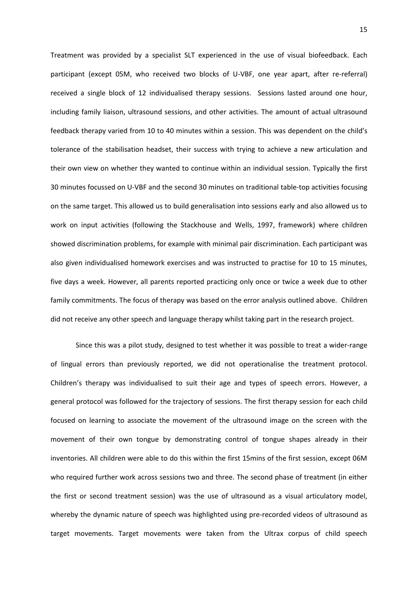Treatment was provided by a specialist SLT experienced in the use of visual biofeedback. Each participant (except 05M, who received two blocks of U-VBF, one year apart, after re-referral) received a single block of 12 individualised therapy sessions. Sessions lasted around one hour, including family liaison, ultrasound sessions, and other activities. The amount of actual ultrasound feedback therapy varied from 10 to 40 minutes within a session. This was dependent on the child's tolerance of the stabilisation headset, their success with trying to achieve a new articulation and their own view on whether they wanted to continue within an individual session. Typically the first 30 minutes focussed on U-VBF and the second 30 minutes on traditional table-top activities focusing on the same target. This allowed us to build generalisation into sessions early and also allowed us to work on input activities (following the Stackhouse and Wells, 1997, framework) where children showed discrimination problems, for example with minimal pair discrimination. Each participant was also given individualised homework exercises and was instructed to practise for 10 to 15 minutes, five days a week. However, all parents reported practicing only once or twice a week due to other family commitments. The focus of therapy was based on the error analysis outlined above. Children did not receive any other speech and language therapy whilst taking part in the research project.

Since this was a pilot study, designed to test whether it was possible to treat a wider-range of lingual errors than previously reported, we did not operationalise the treatment protocol. Children's therapy was individualised to suit their age and types of speech errors. However, a general protocol was followed for the trajectory of sessions. The first therapy session for each child focused on learning to associate the movement of the ultrasound image on the screen with the movement of their own tongue by demonstrating control of tongue shapes already in their inventories. All children were able to do this within the first 15mins of the first session, except 06M who required further work across sessions two and three. The second phase of treatment (in either the first or second treatment session) was the use of ultrasound as a visual articulatory model, whereby the dynamic nature of speech was highlighted using pre-recorded videos of ultrasound as target movements. Target movements were taken from the Ultrax corpus of child speech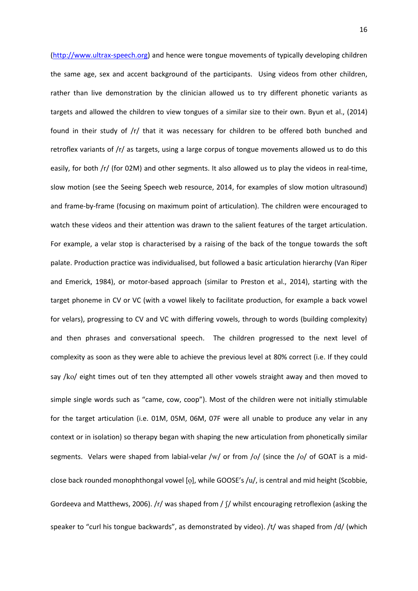[\(http://www.ultrax-speech.org\)](http://www.ultrax-speech.org/) and hence were tongue movements of typically developing children the same age, sex and accent background of the participants. Using videos from other children, rather than live demonstration by the clinician allowed us to try different phonetic variants as targets and allowed the children to view tongues of a similar size to their own. Byun et al., (2014) found in their study of /r/ that it was necessary for children to be offered both bunched and retroflex variants of /r/ as targets, using a large corpus of tongue movements allowed us to do this easily, for both /r/ (for 02M) and other segments. It also allowed us to play the videos in real-time, slow motion (see the Seeing Speech web resource, 2014, for examples of slow motion ultrasound) and frame-by-frame (focusing on maximum point of articulation). The children were encouraged to watch these videos and their attention was drawn to the salient features of the target articulation. For example, a velar stop is characterised by a raising of the back of the tongue towards the soft palate. Production practice was individualised, but followed a basic articulation hierarchy (Van Riper and Emerick, 1984), or motor-based approach (similar to Preston et al., 2014), starting with the target phoneme in CV or VC (with a vowel likely to facilitate production, for example a back vowel for velars), progressing to CV and VC with differing vowels, through to words (building complexity) and then phrases and conversational speech. The children progressed to the next level of complexity as soon as they were able to achieve the previous level at 80% correct (i.e. If they could say /ko/ eight times out of ten they attempted all other vowels straight away and then moved to simple single words such as "came, cow, coop"). Most of the children were not initially stimulable for the target articulation (i.e. 01M, 05M, 06M, 07F were all unable to produce any velar in any context or in isolation) so therapy began with shaping the new articulation from phonetically similar segments. Velars were shaped from labial-velar /w/ or from /o/ (since the /o/ of GOAT is a midclose back rounded monophthongal vowel [o], while GOOSE's /u/, is central and mid height (Scobbie, Gordeeva and Matthews, 2006). /r/ was shaped from /  $\int$ / whilst encouraging retroflexion (asking the speaker to "curl his tongue backwards", as demonstrated by video). /t/ was shaped from /d/ (which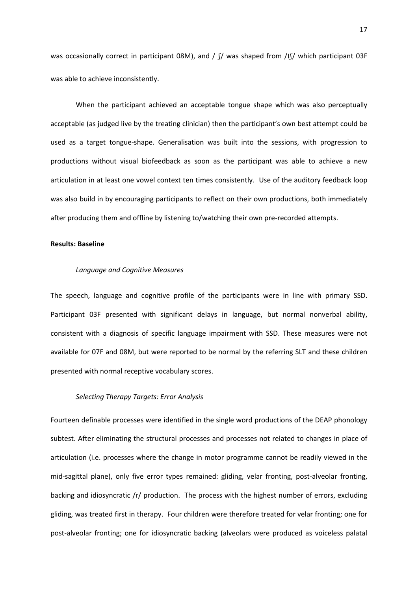was occasionally correct in participant 08M), and /  $\int$ / was shaped from /t $\int$ / which participant 03F was able to achieve inconsistently.

When the participant achieved an acceptable tongue shape which was also perceptually acceptable (as judged live by the treating clinician) then the participant's own best attempt could be used as a target tongue-shape. Generalisation was built into the sessions, with progression to productions without visual biofeedback as soon as the participant was able to achieve a new articulation in at least one vowel context ten times consistently. Use of the auditory feedback loop was also build in by encouraging participants to reflect on their own productions, both immediately after producing them and offline by listening to/watching their own pre-recorded attempts.

### **Results: Baseline**

### *Language and Cognitive Measures*

The speech, language and cognitive profile of the participants were in line with primary SSD. Participant 03F presented with significant delays in language, but normal nonverbal ability, consistent with a diagnosis of specific language impairment with SSD. These measures were not available for 07F and 08M, but were reported to be normal by the referring SLT and these children presented with normal receptive vocabulary scores.

# *Selecting Therapy Targets: Error Analysis*

Fourteen definable processes were identified in the single word productions of the DEAP phonology subtest. After eliminating the structural processes and processes not related to changes in place of articulation (i.e. processes where the change in motor programme cannot be readily viewed in the mid-sagittal plane), only five error types remained: gliding, velar fronting, post-alveolar fronting, backing and idiosyncratic /r/ production. The process with the highest number of errors, excluding gliding, was treated first in therapy. Four children were therefore treated for velar fronting; one for post-alveolar fronting; one for idiosyncratic backing (alveolars were produced as voiceless palatal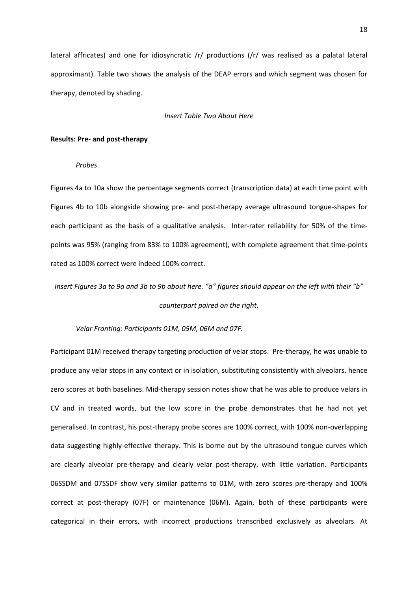lateral affricates) and one for idiosyncratic /r/ productions (/r/ was realised as a palatal lateral approximant). Table two shows the analysis of the DEAP errors and which segment was chosen for therapy, denoted by shading.

#### *Insert Table Two About Here*

### **Results: Pre- and post-therapy**

# *Probes*

Figures 4a to 10a show the percentage segments correct (transcription data) at each time point with Figures 4b to 10b alongside showing pre- and post-therapy average ultrasound tongue-shapes for each participant as the basis of a qualitative analysis. Inter-rater reliability for 50% of the timepoints was 95% (ranging from 83% to 100% agreement), with complete agreement that time-points rated as 100% correct were indeed 100% correct.

*Insert Figures 3a to 9a and 3b to 9b about here. "a" figures should appear on the left with their "b" counterpart paired on the right.* 

# *Velar Fronting: Participants 01M, 05M, 06M and 07F.*

Participant 01M received therapy targeting production of velar stops. Pre-therapy, he was unable to produce any velar stops in any context or in isolation, substituting consistently with alveolars, hence zero scores at both baselines. Mid-therapy session notes show that he was able to produce velars in CV and in treated words, but the low score in the probe demonstrates that he had not yet generalised. In contrast, his post-therapy probe scores are 100% correct, with 100% non-overlapping data suggesting highly-effective therapy. This is borne out by the ultrasound tongue curves which are clearly alveolar pre-therapy and clearly velar post-therapy, with little variation. Participants 06SSDM and 07SSDF show very similar patterns to 01M, with zero scores pre-therapy and 100% correct at post-therapy (07F) or maintenance (06M). Again, both of these participants were categorical in their errors, with incorrect productions transcribed exclusively as alveolars. At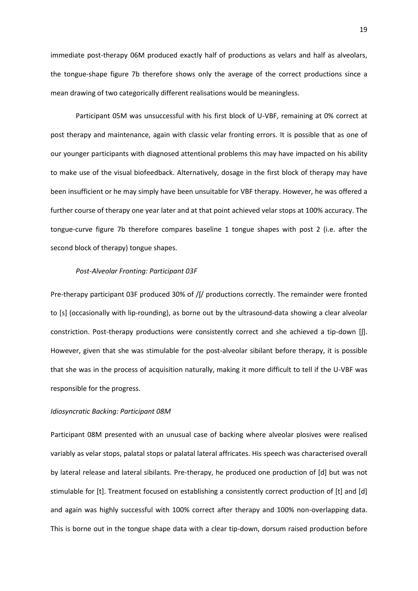immediate post-therapy 06M produced exactly half of productions as velars and half as alveolars, the tongue-shape figure 7b therefore shows only the average of the correct productions since a mean drawing of two categorically different realisations would be meaningless.

Participant 05M was unsuccessful with his first block of U-VBF, remaining at 0% correct at post therapy and maintenance, again with classic velar fronting errors. It is possible that as one of our younger participants with diagnosed attentional problems this may have impacted on his ability to make use of the visual biofeedback. Alternatively, dosage in the first block of therapy may have been insufficient or he may simply have been unsuitable for VBF therapy. However, he was offered a further course of therapy one year later and at that point achieved velar stops at 100% accuracy. The tongue-curve figure 7b therefore compares baseline 1 tongue shapes with post 2 (i.e. after the second block of therapy) tongue shapes.

#### *Post-Alveolar Fronting: Participant 03F*

Pre-therapy participant 03F produced 30% of /ʃ/ productions correctly. The remainder were fronted to [s] (occasionally with lip-rounding), as borne out by the ultrasound-data showing a clear alveolar constriction. Post-therapy productions were consistently correct and she achieved a tip-down [ʃ]. However, given that she was stimulable for the post-alveolar sibilant before therapy, it is possible that she was in the process of acquisition naturally, making it more difficult to tell if the U-VBF was responsible for the progress.

### *Idiosyncratic Backing: Participant 08M*

Participant 08M presented with an unusual case of backing where alveolar plosives were realised variably as velar stops, palatal stops or palatal lateral affricates. His speech was characterised overall by lateral release and lateral sibilants. Pre-therapy, he produced one production of [d] but was not stimulable for [t]. Treatment focused on establishing a consistently correct production of [t] and [d] and again was highly successful with 100% correct after therapy and 100% non-overlapping data. This is borne out in the tongue shape data with a clear tip-down, dorsum raised production before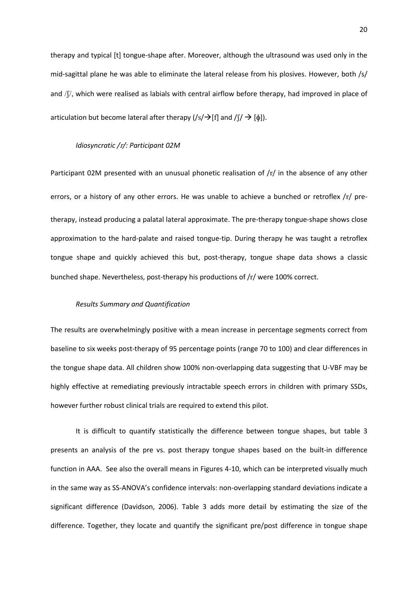therapy and typical [t] tongue-shape after. Moreover, although the ultrasound was used only in the mid-sagittal plane he was able to eliminate the lateral release from his plosives. However, both /s/ and  $/f/$ , which were realised as labials with central airflow before therapy, had improved in place of articulation but become lateral after therapy  $(|s|\rightarrow[f]$  and  $/(\rightarrow[f])$ .

#### *Idiosyncratic /*r*/: Participant 02M*

Participant 02M presented with an unusual phonetic realisation of /r/ in the absence of any other errors, or a history of any other errors. He was unable to achieve a bunched or retroflex /r/ pretherapy, instead producing a palatal lateral approximate. The pre-therapy tongue-shape shows close approximation to the hard-palate and raised tongue-tip. During therapy he was taught a retroflex tongue shape and quickly achieved this but, post-therapy, tongue shape data shows a classic bunched shape. Nevertheless, post-therapy his productions of /r/ were 100% correct.

# *Results Summary and Quantification*

The results are overwhelmingly positive with a mean increase in percentage segments correct from baseline to six weeks post-therapy of 95 percentage points (range 70 to 100) and clear differences in the tongue shape data. All children show 100% non-overlapping data suggesting that U-VBF may be highly effective at remediating previously intractable speech errors in children with primary SSDs, however further robust clinical trials are required to extend this pilot.

It is difficult to quantify statistically the difference between tongue shapes, but table 3 presents an analysis of the pre vs. post therapy tongue shapes based on the built-in difference function in AAA. See also the overall means in Figures 4-10, which can be interpreted visually much in the same way as SS-ANOVA's confidence intervals: non-overlapping standard deviations indicate a significant difference (Davidson, 2006). Table 3 adds more detail by estimating the size of the difference. Together, they locate and quantify the significant pre/post difference in tongue shape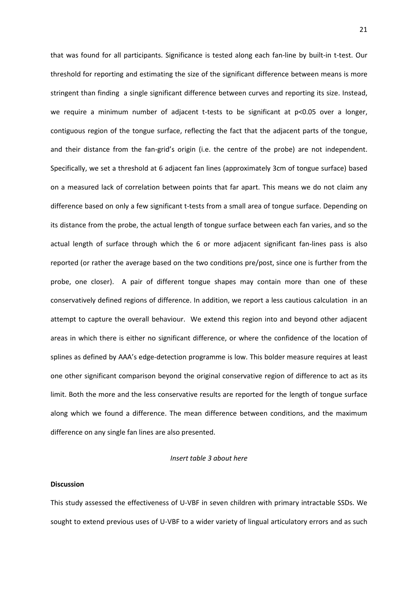that was found for all participants. Significance is tested along each fan-line by built-in t-test. Our threshold for reporting and estimating the size of the significant difference between means is more stringent than finding a single significant difference between curves and reporting its size. Instead, we require a minimum number of adjacent t-tests to be significant at p<0.05 over a longer, contiguous region of the tongue surface, reflecting the fact that the adjacent parts of the tongue, and their distance from the fan-grid's origin (i.e. the centre of the probe) are not independent. Specifically, we set a threshold at 6 adjacent fan lines (approximately 3cm of tongue surface) based on a measured lack of correlation between points that far apart. This means we do not claim any difference based on only a few significant t-tests from a small area of tongue surface. Depending on its distance from the probe, the actual length of tongue surface between each fan varies, and so the actual length of surface through which the 6 or more adjacent significant fan-lines pass is also reported (or rather the average based on the two conditions pre/post, since one is further from the probe, one closer). A pair of different tongue shapes may contain more than one of these conservatively defined regions of difference. In addition, we report a less cautious calculation in an attempt to capture the overall behaviour. We extend this region into and beyond other adjacent areas in which there is either no significant difference, or where the confidence of the location of splines as defined by AAA's edge-detection programme is low. This bolder measure requires at least one other significant comparison beyond the original conservative region of difference to act as its limit. Both the more and the less conservative results are reported for the length of tongue surface along which we found a difference. The mean difference between conditions, and the maximum difference on any single fan lines are also presented.

### *Insert table 3 about here*

### **Discussion**

This study assessed the effectiveness of U-VBF in seven children with primary intractable SSDs. We sought to extend previous uses of U-VBF to a wider variety of lingual articulatory errors and as such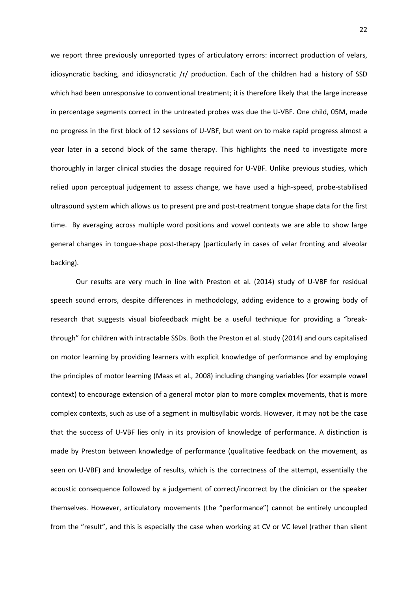we report three previously unreported types of articulatory errors: incorrect production of velars, idiosyncratic backing, and idiosyncratic  $/r/$  production. Each of the children had a history of SSD which had been unresponsive to conventional treatment; it is therefore likely that the large increase in percentage segments correct in the untreated probes was due the U-VBF. One child, 05M, made no progress in the first block of 12 sessions of U-VBF, but went on to make rapid progress almost a year later in a second block of the same therapy. This highlights the need to investigate more thoroughly in larger clinical studies the dosage required for U-VBF. Unlike previous studies, which relied upon perceptual judgement to assess change, we have used a high-speed, probe-stabilised ultrasound system which allows us to present pre and post-treatment tongue shape data for the first time. By averaging across multiple word positions and vowel contexts we are able to show large general changes in tongue-shape post-therapy (particularly in cases of velar fronting and alveolar backing).

Our results are very much in line with Preston et al. (2014) study of U-VBF for residual speech sound errors, despite differences in methodology, adding evidence to a growing body of research that suggests visual biofeedback might be a useful technique for providing a "breakthrough" for children with intractable SSDs. Both the Preston et al. study (2014) and ours capitalised on motor learning by providing learners with explicit knowledge of performance and by employing the principles of motor learning (Maas et al., 2008) including changing variables (for example vowel context) to encourage extension of a general motor plan to more complex movements, that is more complex contexts, such as use of a segment in multisyllabic words. However, it may not be the case that the success of U-VBF lies only in its provision of knowledge of performance. A distinction is made by Preston between knowledge of performance (qualitative feedback on the movement, as seen on U-VBF) and knowledge of results, which is the correctness of the attempt, essentially the acoustic consequence followed by a judgement of correct/incorrect by the clinician or the speaker themselves. However, articulatory movements (the "performance") cannot be entirely uncoupled from the "result", and this is especially the case when working at CV or VC level (rather than silent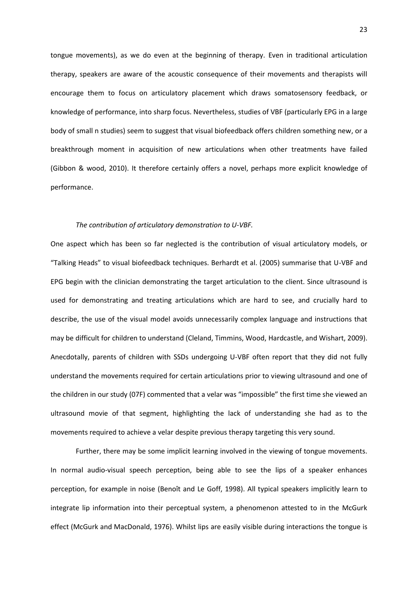tongue movements), as we do even at the beginning of therapy. Even in traditional articulation therapy, speakers are aware of the acoustic consequence of their movements and therapists will encourage them to focus on articulatory placement which draws somatosensory feedback, or knowledge of performance, into sharp focus. Nevertheless, studies of VBF (particularly EPG in a large body of small n studies) seem to suggest that visual biofeedback offers children something new, or a breakthrough moment in acquisition of new articulations when other treatments have failed (Gibbon & wood, 2010). It therefore certainly offers a novel, perhaps more explicit knowledge of performance.

### *The contribution of articulatory demonstration to U-VBF.*

One aspect which has been so far neglected is the contribution of visual articulatory models, or "Talking Heads" to visual biofeedback techniques. Berhardt et al. (2005) summarise that U-VBF and EPG begin with the clinician demonstrating the target articulation to the client. Since ultrasound is used for demonstrating and treating articulations which are hard to see, and crucially hard to describe, the use of the visual model avoids unnecessarily complex language and instructions that may be difficult for children to understand (Cleland, Timmins, Wood, Hardcastle, and Wishart, 2009). Anecdotally, parents of children with SSDs undergoing U-VBF often report that they did not fully understand the movements required for certain articulations prior to viewing ultrasound and one of the children in our study (07F) commented that a velar was "impossible" the first time she viewed an ultrasound movie of that segment, highlighting the lack of understanding she had as to the movements required to achieve a velar despite previous therapy targeting this very sound.

Further, there may be some implicit learning involved in the viewing of tongue movements. In normal audio-visual speech perception, being able to see the lips of a speaker enhances perception, for example in noise (Benoît and Le Goff, 1998). All typical speakers implicitly learn to integrate lip information into their perceptual system, a phenomenon attested to in the McGurk effect (McGurk and MacDonald, 1976). Whilst lips are easily visible during interactions the tongue is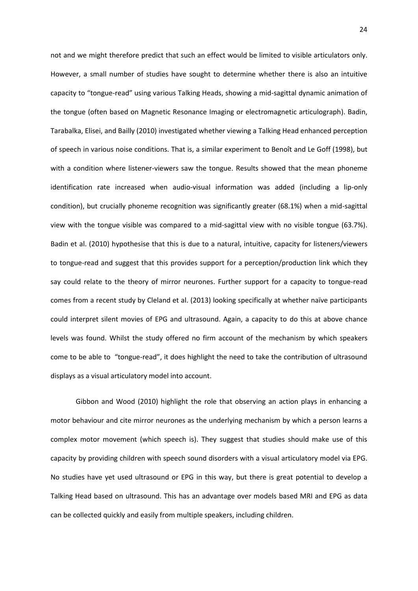not and we might therefore predict that such an effect would be limited to visible articulators only. However, a small number of studies have sought to determine whether there is also an intuitive capacity to "tongue-read" using various Talking Heads, showing a mid-sagittal dynamic animation of the tongue (often based on Magnetic Resonance Imaging or electromagnetic articulograph). Badin, Tarabalka, Elisei, and Bailly (2010) investigated whether viewing a Talking Head enhanced perception of speech in various noise conditions. That is, a similar experiment to Benoît and Le Goff (1998), but with a condition where listener-viewers saw the tongue. Results showed that the mean phoneme identification rate increased when audio-visual information was added (including a lip-only condition), but crucially phoneme recognition was significantly greater (68.1%) when a mid-sagittal view with the tongue visible was compared to a mid-sagittal view with no visible tongue (63.7%). Badin et al. (2010) hypothesise that this is due to a natural, intuitive, capacity for listeners/viewers to tongue-read and suggest that this provides support for a perception/production link which they say could relate to the theory of mirror neurones. Further support for a capacity to tongue-read comes from a recent study by Cleland et al. (2013) looking specifically at whether naïve participants could interpret silent movies of EPG and ultrasound. Again, a capacity to do this at above chance levels was found. Whilst the study offered no firm account of the mechanism by which speakers come to be able to "tongue-read", it does highlight the need to take the contribution of ultrasound displays as a visual articulatory model into account.

Gibbon and Wood (2010) highlight the role that observing an action plays in enhancing a motor behaviour and cite mirror neurones as the underlying mechanism by which a person learns a complex motor movement (which speech is). They suggest that studies should make use of this capacity by providing children with speech sound disorders with a visual articulatory model via EPG. No studies have yet used ultrasound or EPG in this way, but there is great potential to develop a Talking Head based on ultrasound. This has an advantage over models based MRI and EPG as data can be collected quickly and easily from multiple speakers, including children.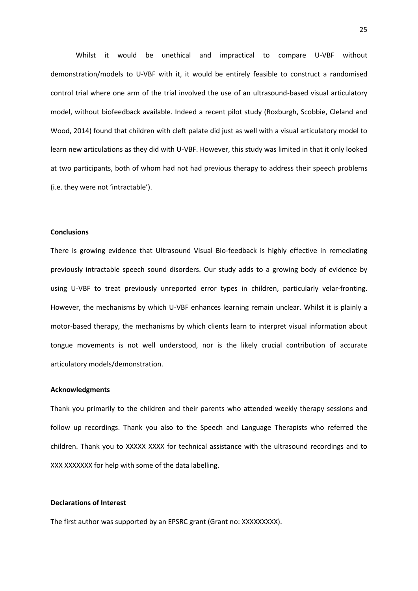Whilst it would be unethical and impractical to compare U-VBF without demonstration/models to U-VBF with it, it would be entirely feasible to construct a randomised control trial where one arm of the trial involved the use of an ultrasound-based visual articulatory model, without biofeedback available. Indeed a recent pilot study (Roxburgh, Scobbie, Cleland and Wood, 2014) found that children with cleft palate did just as well with a visual articulatory model to learn new articulations as they did with U-VBF. However, this study was limited in that it only looked at two participants, both of whom had not had previous therapy to address their speech problems (i.e. they were not 'intractable').

### **Conclusions**

There is growing evidence that Ultrasound Visual Bio-feedback is highly effective in remediating previously intractable speech sound disorders. Our study adds to a growing body of evidence by using U-VBF to treat previously unreported error types in children, particularly velar-fronting. However, the mechanisms by which U-VBF enhances learning remain unclear. Whilst it is plainly a motor-based therapy, the mechanisms by which clients learn to interpret visual information about tongue movements is not well understood, nor is the likely crucial contribution of accurate articulatory models/demonstration.

### **Acknowledgments**

Thank you primarily to the children and their parents who attended weekly therapy sessions and follow up recordings. Thank you also to the Speech and Language Therapists who referred the children. Thank you to XXXXX XXXX for technical assistance with the ultrasound recordings and to XXX XXXXXXX for help with some of the data labelling.

# **Declarations of Interest**

The first author was supported by an EPSRC grant (Grant no: XXXXXXXXX).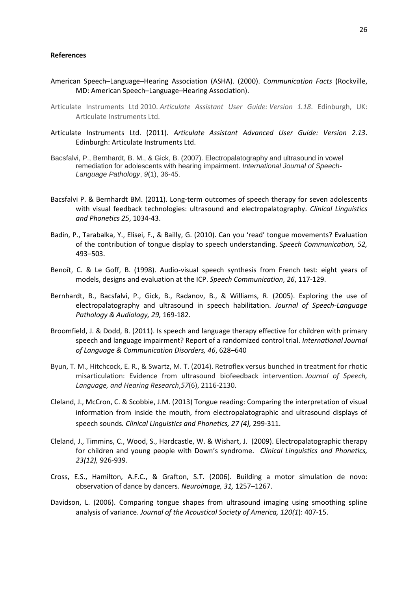### **References**

- American Speech–Language–Hearing Association (ASHA). (2000). *Communication Facts* (Rockville, MD: American Speech–Language–Hearing Association).
- Articulate Instruments Ltd 2010. *Articulate Assistant User Guide: Version 1.18*. Edinburgh, UK: Articulate Instruments Ltd.
- Articulate Instruments Ltd. (2011). *Articulate Assistant Advanced User Guide: Version 2.13*. Edinburgh: Articulate Instruments Ltd.
- Bacsfalvi, P., Bernhardt, B. M., & Gick, B. (2007). Electropalatography and ultrasound in vowel remediation for adolescents with hearing impairment. *International Journal of Speech-Language Pathology*, *9*(1), 36-45.
- Bacsfalvi P. & Bernhardt BM. (2011). Long-term outcomes of speech therapy for seven adolescents with visual feedback technologies: ultrasound and electropalatography. *Clinical Linguistics and Phonetics 25*, 1034-43.
- Badin, P., Tarabalka, Y., Elisei, F., & Bailly, G. (2010). Can you 'read' tongue movements? Evaluation of the contribution of tongue display to speech understanding. *Speech Communication, 52,* 493–503.
- Benoît, C. & Le Goff, B. (1998). Audio-visual speech synthesis from French test: eight years of models, designs and evaluation at the ICP. *Speech Communication*, *26*, 117-129.
- Bernhardt, B., Bacsfalvi, P., Gick, B., Radanov, B., & Williams, R. (2005). Exploring the use of electropalatography and ultrasound in speech habilitation. *Journal of Speech-Language Pathology & Audiology, 29,* 169-182.
- Broomfield, J. & Dodd, B. (2011). Is speech and language therapy effective for children with primary speech and language impairment? Report of a randomized control trial. *International Journal of Language & Communication Disorders, 46*, 628–640
- Byun, T. M., Hitchcock, E. R., & Swartz, M. T. (2014). Retroflex versus bunched in treatment for rhotic misarticulation: Evidence from ultrasound biofeedback intervention. *Journal of Speech, Language, and Hearing Research*,*57*(6), 2116-2130.
- Cleland, J., McCron, C. & Scobbie, J.M. (2013) Tongue reading: Comparing the interpretation of visual information from inside the mouth, from electropalatographic and ultrasound displays of speech sounds*. Clinical Linguistics and Phonetics, 27 (4),* 299-311.
- Cleland, J., Timmins, C., Wood, S., Hardcastle, W. & Wishart, J. (2009). Electropalatographic therapy for children and young people with Down's syndrome. *Clinical Linguistics and Phonetics, 23(12),* 926-939.
- Cross, E.S., Hamilton, A.F.C., & Grafton, S.T. (2006). Building a motor simulation de novo: observation of dance by dancers. *Neuroimage, 31,* 1257–1267.
- Davidson, L. (2006). Comparing tongue shapes from ultrasound imaging using smoothing spline analysis of variance. *Journal of the Acoustical Society of America, 120(1*): 407-15.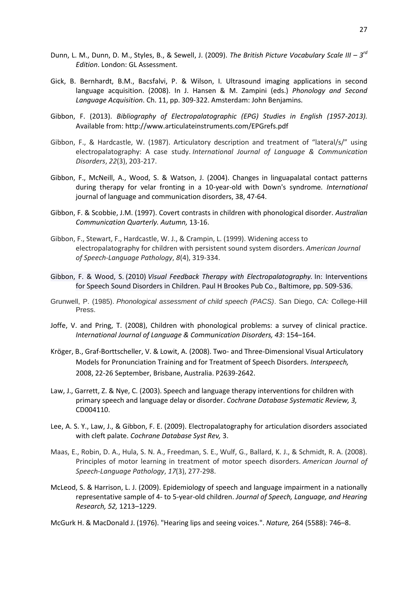- Dunn, L. M., Dunn, D. M., Styles, B., & Sewell, J. (2009). The British Picture Vocabulary Scale III 3<sup>rd</sup> *Edition*. London: GL Assessment.
- Gick, B. Bernhardt, B.M., Bacsfalvi, P. & Wilson, I. [Ultrasound imaging applications in second](http://lingserver.arts.ubc.ca/linguistics/sites/default/files/Gick&Al%28Edwards&ZampiniBk08%29L2.pdf)  [language acquisition.](http://lingserver.arts.ubc.ca/linguistics/sites/default/files/Gick&Al%28Edwards&ZampiniBk08%29L2.pdf) (2008). In J. Hansen & M. Zampini (eds.) *Phonology and Second Language Acquisition*. Ch. 11, pp. 309-322. Amsterdam: John Benjamins.
- Gibbon, F. (2013). *Bibliography of Electropalatographic (EPG) Studies in English (1957-2013).* Available from[: http://www.articulateinstruments.com/EPGrefs.pdf](http://www.articulateinstruments.com/EPGrefs.pdf)
- Gibbon, F., & Hardcastle, W. (1987). Articulatory description and treatment of "lateral/s/" using electropalatography: A case study. *International Journal of Language & Communication Disorders*, *22*(3), 203-217.
- Gibbon, F., McNeill, A., Wood, S. & Watson, J. (2004). Changes in linguapalatal contact patterns during therapy for velar fronting in a 10-year-old with Down's syndrome*. International*  journal of language and communication disorders, 38, 47-64.
- Gibbon, F. & Scobbie, J.M. (1997). [Covert contrasts in children with phonological disorder.](http://eresearch.qmu.ac.uk/2604/) *Australian Communication Quarterly. Autumn,* 13-16.
- Gibbon, F., Stewart, F., Hardcastle, W. J., & Crampin, L. (1999). Widening access to electropalatography for children with persistent sound system disorders. *American Journal of Speech-Language Pathology*, *8*(4), 319-334.
- Gibbon, F. & Wood, S. (2010) *Visual Feedback Therapy with Electropalatography.* In: Interventions for Speech Sound Disorders in Children. Paul H Brookes Pub Co., Baltimore, pp. 509-536.
- Grunwell, P. (1985). *Phonological assessment of child speech (PACS)*. San Diego, CA: College-Hill Press.
- Joffe, V. and Pring, T. (2008), Children with phonological problems: a survey of clinical practice. *International Journal of Language & Communication Disorders, 43*: 154–164.
- Krӧger, B., Graf-Borttscheller, V. & Lowit, A. (2008). Two- and Three-Dimensional Visual Articulatory Models for Pronunciation Training and for Treatment of Speech Disorders. *Interspeech,*  2008, 22-26 September, Brisbane, Australia. P2639-2642.
- Law, J., Garrett, Z. & Nye, C. (2003). Speech and language therapy interventions for children with primary speech and language delay or disorder. *Cochrane Database Systematic Review, 3,*  CD004110.
- Lee, A. S. Y., Law, J., & Gibbon, F. E. (2009). Electropalatography for articulation disorders associated with cleft palate. *Cochrane Database Syst Rev,* 3.
- Maas, E., Robin, D. A., Hula, S. N. A., Freedman, S. E., Wulf, G., Ballard, K. J., & Schmidt, R. A. (2008). Principles of motor learning in treatment of motor speech disorders. *American Journal of Speech-Language Pathology*, *17*(3), 277-298.
- McLeod, S. & Harrison, L. J. (2009). Epidemiology of speech and language impairment in a nationally representative sample of 4- to 5-year-old children. *Journal of Speech, Language, and Hearing Research, 52,* 1213–1229.
- McGurk H. & MacDonald J. (1976). "Hearing lips and seeing voices.". *Nature,* 264 (5588): 746–8.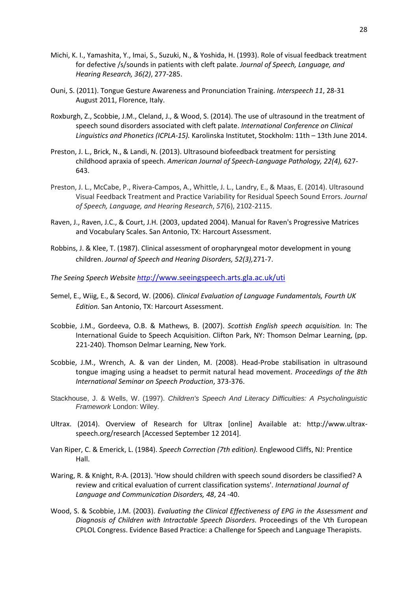- Michi, K. I., Yamashita, Y., Imai, S., Suzuki, N., & Yoshida, H. (1993). Role of visual feedback treatment for defective /s/sounds in patients with cleft palate. *Journal of Speech, Language, and Hearing Research, 36(2)*, 277-285.
- Ouni, S. (2011). Tongue Gesture Awareness and Pronunciation Training. *Interspeech 11*, 28-31 August 2011, Florence, Italy.
- Roxburgh, Z., Scobbie, J.M., Cleland, J., & Wood, S. (2014). The use of ultrasound in the treatment of speech sound disorders associated with cleft palate. *International Conference on Clinical Linguistics and Phonetics (ICPLA-15).* Karolinska Institutet, Stockholm: 11th – 13th June 2014.
- Preston, J. L., Brick, N., & Landi, N. (2013). Ultrasound biofeedback treatment for persisting childhood apraxia of speech. *American Journal of Speech-Language Pathology, 22(4),* 627- 643.
- Preston, J. L., McCabe, P., Rivera-Campos, A., Whittle, J. L., Landry, E., & Maas, E. (2014). Ultrasound Visual Feedback Treatment and Practice Variability for Residual Speech Sound Errors. *Journal of Speech, Language, and Hearing Research*, *57*(6), 2102-2115.
- Raven, J., Raven, J.C., & Court, J.H. (2003, updated 2004). Manual for Raven's Progressive Matrices and Vocabulary Scales. San Antonio, TX: Harcourt Assessment.
- Robbins, J. & Klee, T. (1987). Clinical assessment of oropharyngeal motor development in young children. *Journal of Speech and Hearing Disorders, 52(3),*271-7.
- *The Seeing Speech Website http*[://www.seeingspeech.arts.gla.ac.uk/uti](http://www.seeingspeech.arts.gla.ac.uk/uti)
- Semel, E., Wiig, E., & Secord, W. (2006). *Clinical Evaluation of Language Fundamentals, Fourth UK Edition.* San Antonio, TX: Harcourt Assessment.
- Scobbie, J.M., Gordeeva, O.B. & Mathews, B. (2007). *Scottish English speech acquisition.* In: The International Guide to Speech Acquisition. Clifton Park, NY: Thomson Delmar Learning, (pp. 221-240). Thomson Delmar Learning, New York.
- Scobbie, J.M., Wrench, A. & van der Linden, M. (2008). Head-Probe stabilisation in ultrasound tongue imaging using a headset to permit natural head movement. *Proceedings of the 8th International Seminar on Speech Production*, 373-376.
- Stackhouse, J. & Wells, W. (1997). *Children's Speech And Literacy Difficulties: A Psycholinguistic Framework* London: Wiley.
- Ultrax. (2014). Overview of Research for Ultrax [online] Available at: http://www.ultraxspeech.org/research [Accessed September 12 2014].
- Van Riper, C. & Emerick, L. (1984). *Speech Correction (7th edition).* Englewood Cliffs, NJ: Prentice Hall.
- Waring, R. & Knight, R-A. (2013). 'How should children with speech sound disorders be classified? A review and critical evaluation of current classification systems'. *International Journal of Language and Communication Disorders, 48*, 24 -40.
- Wood, S. & Scobbie, J.M. (2003). *[Evaluating the Clinical Effectiveness of EPG in the Assessment and](http://eresearch.qmu.ac.uk/2243/)  [Diagnosis of Children with Intractable Speech Disorders.](http://eresearch.qmu.ac.uk/2243/)* Proceedings of the Vth European CPLOL Congress. Evidence Based Practice: a Challenge for Speech and Language Therapists.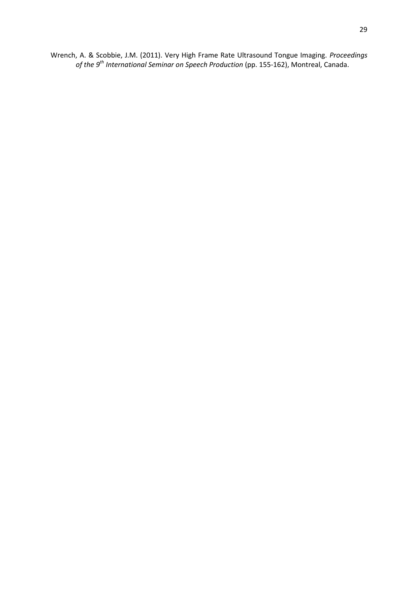Wrench, A. & Scobbie, J.M. (2011). Very High Frame Rate Ultrasound Tongue Imaging. *Proceedings of the 9th International Seminar on Speech Production* (pp. 155-162), Montreal, Canada.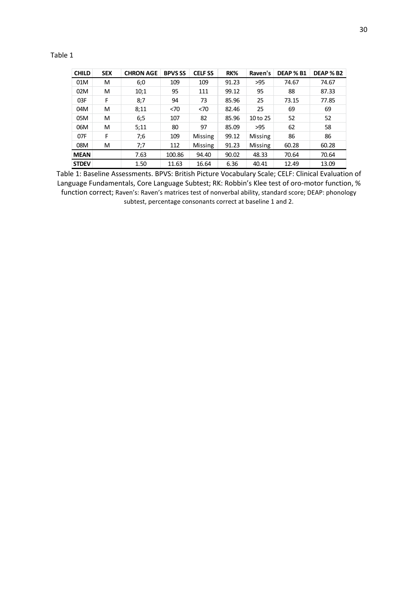# Table 1

| <b>CHILD</b> | <b>SEX</b> | <b>CHRON AGE</b> | <b>BPVS SS</b> | <b>CELF SS</b> | RK%   | Raven's        | DEAP % B1 | <b>DEAP % B2</b> |
|--------------|------------|------------------|----------------|----------------|-------|----------------|-----------|------------------|
| 01M          | M          | 6:0              | 109            | 109            | 91.23 | >95            | 74.67     | 74.67            |
| 02M          | M          | 10:1             | 95             | 111            | 99.12 | 95             | 88        | 87.33            |
| 03F          | F          | 8:7              | 94             | 73             | 85.96 | 25             | 73.15     | 77.85            |
| 04M          | M          | 8:11             | < 70           | < 70           | 82.46 | 25             | 69        | 69               |
| 05M          | M          | 6:5              | 107            | 82             | 85.96 | 10 to 25       | 52        | 52               |
| 06M          | M          | 5:11             | 80             | 97             | 85.09 | >95            | 62        | 58               |
| 07F          | F          | 7:6              | 109            | Missing        | 99.12 | Missing        | 86        | 86               |
| 08M          | M          | 7;7              | 112            | <b>Missing</b> | 91.23 | <b>Missing</b> | 60.28     | 60.28            |
| <b>MEAN</b>  |            | 7.63             | 100.86         | 94.40          | 90.02 | 48.33          | 70.64     | 70.64            |
| <b>STDEV</b> |            | 1.50             | 11.63          | 16.64          | 6.36  | 40.41          | 12.49     | 13.09            |

Table 1: Baseline Assessments. BPVS: British Picture Vocabulary Scale; CELF: Clinical Evaluation of Language Fundamentals, Core Language Subtest; RK: Robbin's Klee test of oro-motor function, % function correct; Raven's: Raven's matrices test of nonverbal ability, standard score; DEAP: phonology subtest, percentage consonants correct at baseline 1 and 2.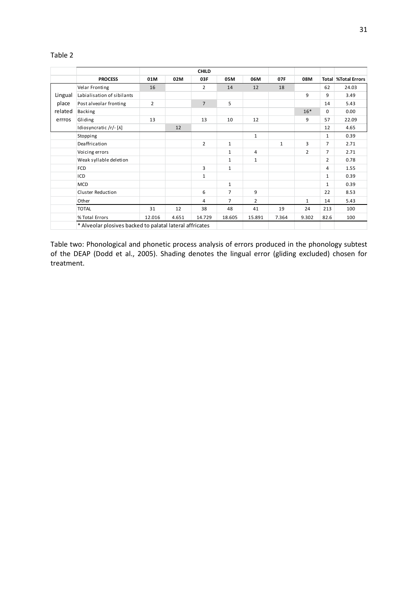## Table 2

|         |                            |                   |       | <b>CHILD</b>   |                |                |              |                |                |                              |  |
|---------|----------------------------|-------------------|-------|----------------|----------------|----------------|--------------|----------------|----------------|------------------------------|--|
|         | <b>PROCESS</b>             | 01M<br>02M<br>03F |       |                | 05M<br>06M     |                | 07F          | 08M            |                | <b>Total   %Total Errors</b> |  |
|         | Velar Fronting             | 16                |       | $\overline{2}$ | 14             | 12             | 18           |                | 62             | 24.03                        |  |
| Lingual | Labialisation of sibilants |                   |       |                |                |                |              | 9              | 9              | 3.49                         |  |
| place   | Post alveolar fronting     | $\overline{2}$    |       | $\overline{7}$ | 5              |                |              |                | 14             | 5.43                         |  |
| related | Backing                    |                   |       |                |                |                |              | $16*$          | $\Omega$       | 0.00                         |  |
| errros  | Gliding                    | 13                |       | 13             | 10             | 12             |              | 9              | 57             | 22.09                        |  |
|         | Idiosyncratic /r/-[A]      |                   | 12    |                |                |                |              |                | 12             | 4.65                         |  |
|         | Stopping                   |                   |       |                |                | $\mathbf{1}$   |              |                | $\mathbf{1}$   | 0.39                         |  |
|         | Deaffrication              |                   |       | 2              | $\mathbf{1}$   |                | $\mathbf{1}$ | 3              | $\overline{7}$ | 2.71                         |  |
|         | Voicing errors             |                   |       |                | $\mathbf{1}$   | 4              |              | $\overline{2}$ | $\overline{7}$ | 2.71                         |  |
|         | Weak syllable deletion     |                   |       |                | $\mathbf{1}$   | $\mathbf{1}$   |              |                | $\overline{2}$ | 0.78                         |  |
|         | <b>FCD</b>                 |                   |       | 3              | $\mathbf{1}$   |                |              |                | 4              | 1.55                         |  |
|         | ICD                        |                   |       | $\mathbf{1}$   |                |                |              |                | $\mathbf{1}$   | 0.39                         |  |
|         | <b>MCD</b>                 |                   |       |                | $\mathbf{1}$   |                |              |                | $\mathbf{1}$   | 0.39                         |  |
|         | Cluster Reduction          |                   |       | 6              | $\overline{7}$ | 9              |              |                | 22             | 8.53                         |  |
|         | Other                      |                   |       | 4              | $\overline{7}$ | $\overline{2}$ |              | $\mathbf{1}$   | 14             | 5.43                         |  |
|         | <b>TOTAL</b>               | 31                | 12    | 38             | 48             | 41             | 19           | 24             | 213            | 100                          |  |
|         | % Total Errors             | 12.016            | 4.651 | 14.729         | 18.605         | 15.891         | 7.364        | 9.302          | 82.6           | 100                          |  |

Table two: Phonological and phonetic process analysis of errors produced in the phonology subtest of the DEAP (Dodd et al., 2005). Shading denotes the lingual error (gliding excluded) chosen for treatment.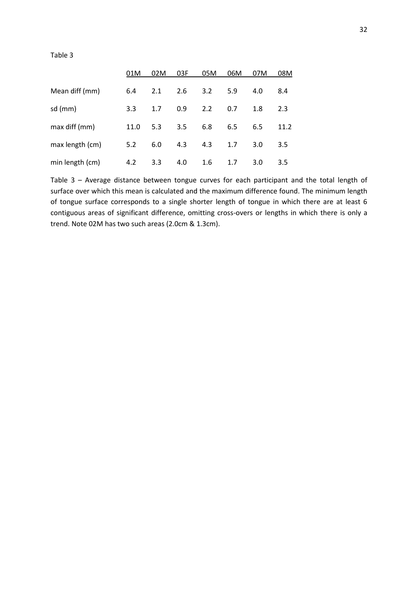Table 3

|                 | 01M  | 02M | 03F | 05M | 06M | 07M | 08M  |
|-----------------|------|-----|-----|-----|-----|-----|------|
| Mean diff (mm)  | 6.4  | 2.1 | 2.6 | 3.2 | 5.9 | 4.0 | 8.4  |
| sd (mm)         | 3.3  | 1.7 | 0.9 | 2.2 | 0.7 | 1.8 | 2.3  |
| max diff (mm)   | 11.0 | 5.3 | 3.5 | 6.8 | 6.5 | 6.5 | 11.2 |
| max length (cm) | 5.2  | 6.0 | 4.3 | 4.3 | 1.7 | 3.0 | 3.5  |
| min length (cm) | 4.2  | 3.3 | 4.0 | 1.6 | 1.7 | 3.0 | 3.5  |

Table 3 – Average distance between tongue curves for each participant and the total length of surface over which this mean is calculated and the maximum difference found. The minimum length of tongue surface corresponds to a single shorter length of tongue in which there are at least 6 contiguous areas of significant difference, omitting cross-overs or lengths in which there is only a trend. Note 02M has two such areas (2.0cm & 1.3cm).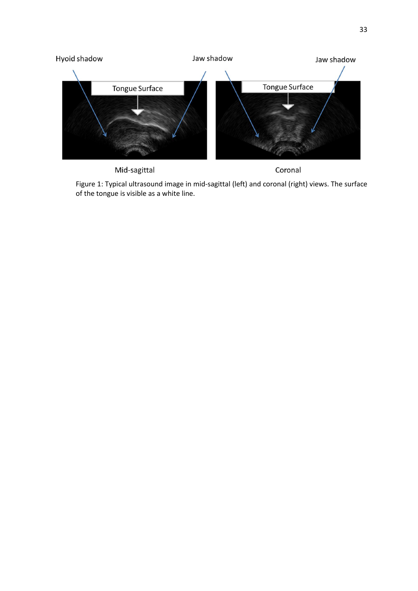

Mid-sagittal

Coronal

Figure 1: Typical ultrasound image in mid-sagittal (left) and coronal (right) views. The surface of the tongue is visible as a white line.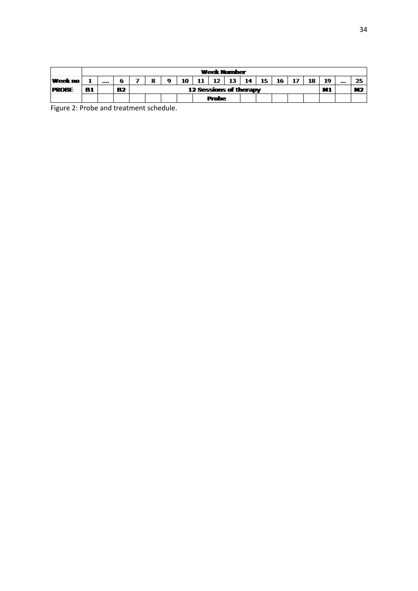|                | <b>Week Number</b> |      |    |  |                        |           |    |              |    |     |    |    |    |    |    |    |     |     |
|----------------|--------------------|------|----|--|------------------------|-----------|----|--------------|----|-----|----|----|----|----|----|----|-----|-----|
| <b>Week no</b> |                    | ---- |    |  | 8                      | $\bullet$ | 10 | 11           | 12 | -13 | 14 | 15 | 16 | 17 | 18 | 19 | --- | 25. |
| <b>PROBE</b>   | 81                 |      | 82 |  | 12 Sessions of therapy |           |    |              |    |     |    |    |    |    |    |    |     | M2  |
|                |                    |      |    |  |                        |           |    | <b>Probe</b> |    |     |    |    |    |    |    |    |     |     |

Figure 2: Probe and treatment schedule.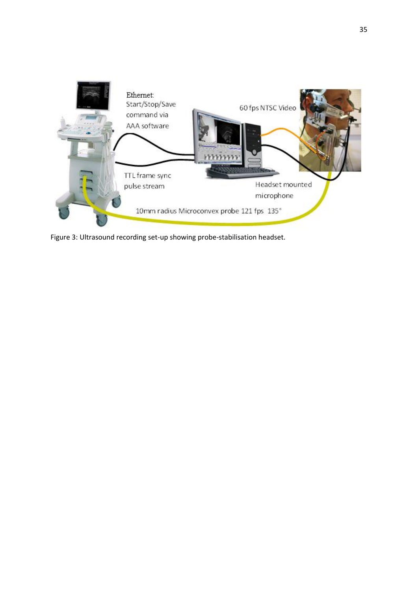

Figure 3: Ultrasound recording set-up showing probe-stabilisation headset.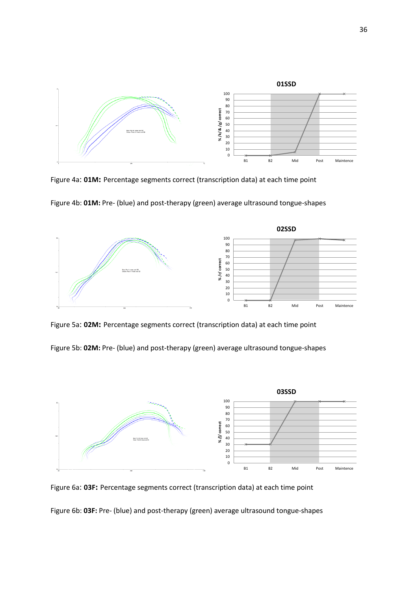

Figure 4a: **01M:** Percentage segments correct (transcription data) at each time point





Figure 5a: **02M:** Percentage segments correct (transcription data) at each time point

Figure 5b: **02M:** Pre- (blue) and post-therapy (green) average ultrasound tongue-shapes



Figure 6a: **03F:** Percentage segments correct (transcription data) at each time point

Figure 6b: **03F:** Pre- (blue) and post-therapy (green) average ultrasound tongue-shapes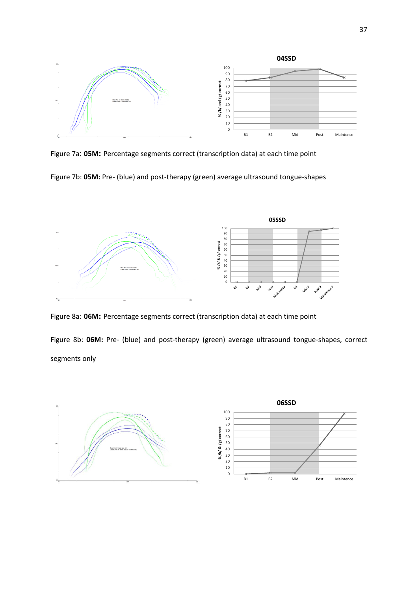

Figure 7a: **05M:** Percentage segments correct (transcription data) at each time point

Figure 7b: **05M:** Pre- (blue) and post-therapy (green) average ultrasound tongue-shapes



Figure 8a: **06M:** Percentage segments correct (transcription data) at each time point

Figure 8b: **06M:** Pre- (blue) and post-therapy (green) average ultrasound tongue-shapes, correct segments only